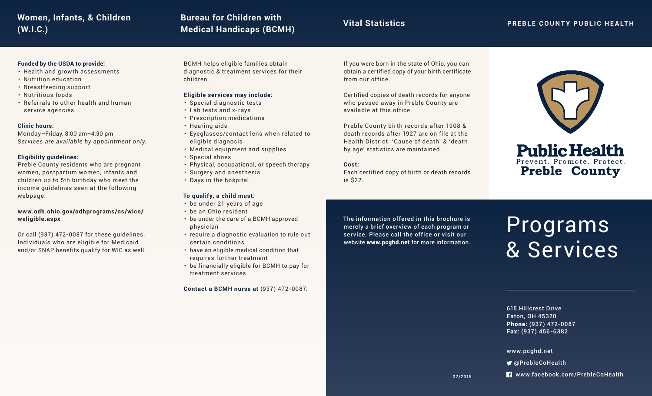## **Medical Handicaps (BCMH) (W.I.C.) PREBLE COUNTY PUBLIC HEALTH Women, Infants, & Children**

# **Vital Statistics Bureau for Children with**

## **Funded by the USDA to provide:**

- Health and growth assessments
- Nutrition education
- Breastfeeding support
- Nutritious foods
- Referrals to other health and human service agencies

## **Clinic hours:**

Monday–Friday, 8:00 am–4:30 pm *Services are available by appointment only.* 

## **Eligibility guidelines:**

Preble County residents who are pregnant women, postpartum women, infants and children up to 5th birthday who meet the income guidelines seen at the following webpage:

## **www.odh.ohio.gov/odhprograms/ns/wicn/ weligible.aspx**

Or call (937) 472-0087 for these guidelines. Individuals who are eligible for Medicaid and/or SNAP benefits qualify for WIC as well. BCMH helps eligible families obtain diagnostic & treatment services for their children.

## **Eligible services may include:**

- Special diagnostic tests
- Lab tests and x-rays
- Prescription medications
- Hearing aids
- Eyeglasses/contact lens when related to eligible diagnosis
- Medical equipment and supplies
- Special shoes
- Physical, occupational, or speech therapy
- Surgery and anesthesia
- Days in the hospital

## **To qualify, a child must:**

- be under 21 years of age
- be an Ohio resident
- be under the care of a BCMH approved physician
- require a diagnostic evaluation to rule out certain conditions
- have an eligible medical condition that requires further treatment
- be financially eligible for BCMH to pay for treatment services

**Contact a BCMH nurse at** (937) 472-0087.

If you were born in the state of Ohio, you can obtain a certified copy of your birth certificate from our office.

Certified copies of death records for anyone who passed away in Preble County are available at this office.

Preble County birth records after 1908 & death records after 1927 are on file at the Health District. 'Cause of death' & 'death by age' statistics are maintained.

## **Cost:**

Each certified copy of birth or death records is \$22.



## **Public Health** Prevent. Promote. Protect **Preble County**

## The information offered in this brochure is merely a brief overview of each program or service. Please call the office or visit our website www.pcghd.net for more information.

Programs & Services

615 Hillcrest Drive Eaton, OH 45320 Phone: (937) 472-0087 Fax: (937) 456-6382

## www.pcghd.net

- @PrebleCoHealth
- **R** www.facebook.com/PrebleCoHealth

02/2015